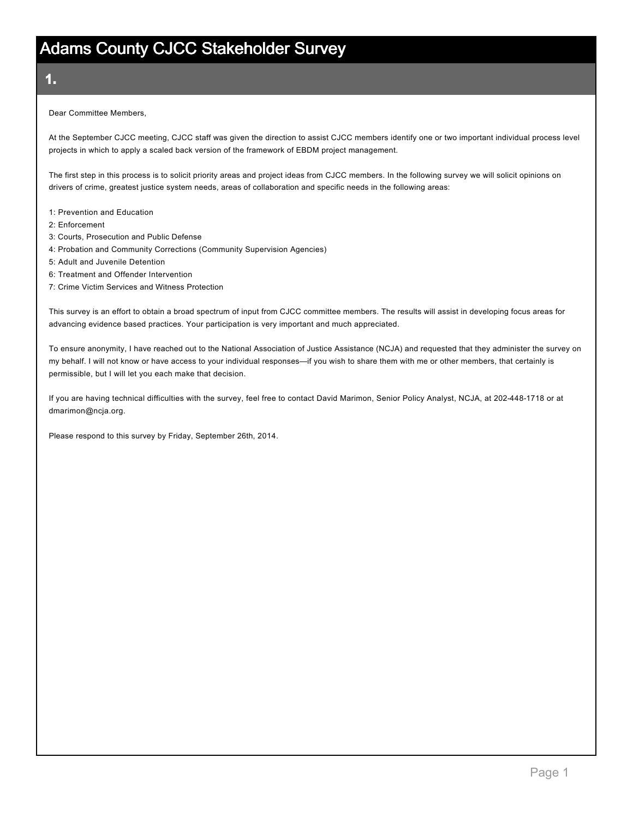1.

Dear Committee Members,

At the September CJCC meeting, CJCC staff was given the direction to assist CJCC members identify one or two important individual process level projects in which to apply a scaled back version of the framework of EBDM project management.

The first step in this process is to solicit priority areas and project ideas from CJCC members. In the following survey we will solicit opinions on drivers of crime, greatest justice system needs, areas of collaboration and specific needs in the following areas:

- 1: Prevention and Education
- 2: Enforcement
- 3: Courts, Prosecution and Public Defense
- 4: Probation and Community Corrections (Community Supervision Agencies)
- 5: Adult and Juvenile Detention
- 6: Treatment and Offender Intervention
- 7: Crime Victim Services and Witness Protection

This survey is an effort to obtain a broad spectrum of input from CJCC committee members. The results will assist in developing focus areas for advancing evidence based practices. Your participation is very important and much appreciated.

To ensure anonymity, I have reached out to the National Association of Justice Assistance (NCJA) and requested that they administer the survey on my behalf. I will not know or have access to your individual responses—if you wish to share them with me or other members, that certainly is permissible, but I will let you each make that decision.

If you are having technical difficulties with the survey, feel free to contact David Marimon, Senior Policy Analyst, NCJA, at 202-448-1718 or at dmarimon@ncja.org.

Please respond to this survey by Friday, September 26th, 2014.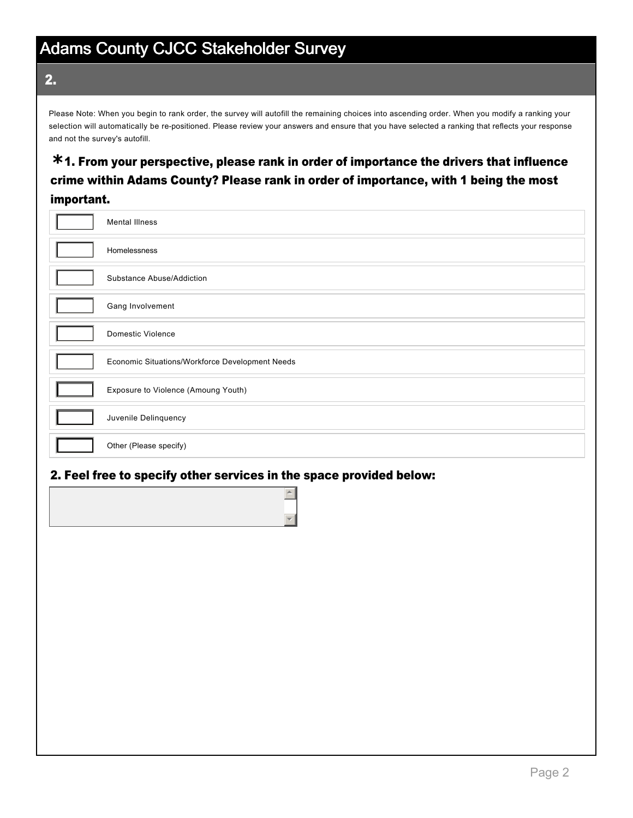2.

Please Note: When you begin to rank order, the survey will autofill the remaining choices into ascending order. When you modify a ranking your selection will automatically be re-positioned. Please review your answers and ensure that you have selected a ranking that reflects your response and not the survey's autofill.

### 1. From your perspective, please rank in order of importance the drivers that influence **\*** crime within Adams County? Please rank in order of importance, with 1 being the most important.

| <b>Mental Illness</b>                           |
|-------------------------------------------------|
| Homelessness                                    |
| Substance Abuse/Addiction                       |
| Gang Involvement                                |
| <b>Domestic Violence</b>                        |
| Economic Situations/Workforce Development Needs |
| Exposure to Violence (Amoung Youth)             |
| Juvenile Delinquency                            |
| Other (Please specify)                          |

#### 2. Feel free to specify other services in the space provided below:

|  |  | ▼ |
|--|--|---|
|  |  |   |
|  |  |   |
|  |  |   |
|  |  |   |
|  |  |   |
|  |  |   |
|  |  |   |
|  |  |   |
|  |  |   |
|  |  |   |
|  |  |   |
|  |  |   |
|  |  |   |
|  |  |   |
|  |  |   |
|  |  |   |
|  |  |   |
|  |  |   |
|  |  |   |
|  |  |   |
|  |  |   |
|  |  |   |
|  |  |   |
|  |  |   |
|  |  |   |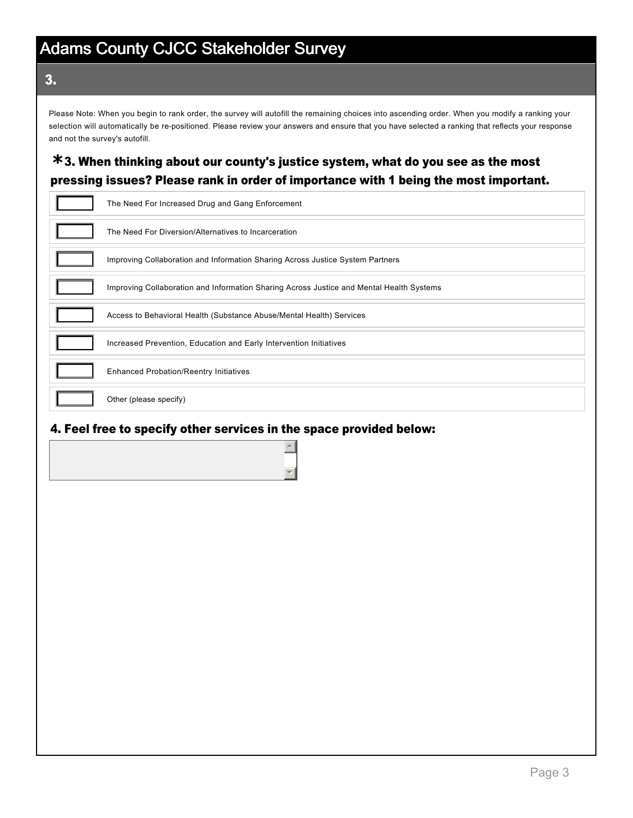#### 3.

Please Note: When you begin to rank order, the survey will autofill the remaining choices into ascending order. When you modify a ranking your selection will automatically be re-positioned. Please review your answers and ensure that you have selected a ranking that reflects your response and not the survey's autofill.

### 3. When thinking about our county's justice system, what do you see as the most **\*** pressing issues? Please rank in order of importance with 1 being the most important.

| The Need For Increased Drug and Gang Enforcement                                         |
|------------------------------------------------------------------------------------------|
| The Need For Diversion/Alternatives to Incarceration                                     |
| Improving Collaboration and Information Sharing Across Justice System Partners           |
| Improving Collaboration and Information Sharing Across Justice and Mental Health Systems |
| Access to Behavioral Health (Substance Abuse/Mental Health) Services                     |
| Increased Prevention, Education and Early Intervention Initiatives                       |
| <b>Enhanced Probation/Reentry Initiatives</b>                                            |
| Other (please specify)                                                                   |

#### 4. Feel free to specify other services in the space provided below:

 $\left| \right|$ 

 $\overline{\mathcal{F}}$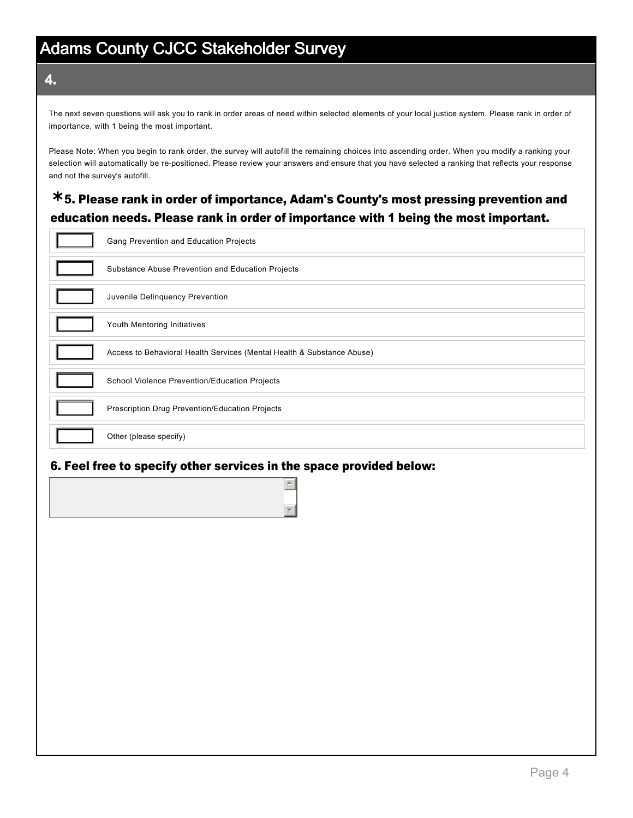#### 4.

The next seven questions will ask you to rank in order areas of need within selected elements of your local justice system. Please rank in order of importance, with 1 being the most important.

Please Note: When you begin to rank order, the survey will autofill the remaining choices into ascending order. When you modify a ranking your selection will automatically be re-positioned. Please review your answers and ensure that you have selected a ranking that reflects your response and not the survey's autofill.

### 5. Please rank in order of importance, Adam's County's most pressing prevention and **\*** education needs. Please rank in order of importance with 1 being the most important.

| Gang Prevention and Education Projects                                 |
|------------------------------------------------------------------------|
| Substance Abuse Prevention and Education Projects                      |
| Juvenile Delinguency Prevention                                        |
| Youth Mentoring Initiatives                                            |
| Access to Behavioral Health Services (Mental Health & Substance Abuse) |
| School Violence Prevention/Education Projects                          |
| Prescription Drug Prevention/Education Projects                        |
| Other (please specify)                                                 |

#### 6. Feel free to specify other services in the space provided below:

 $\triangleq$ 

 $\overline{\mathcal{F}}$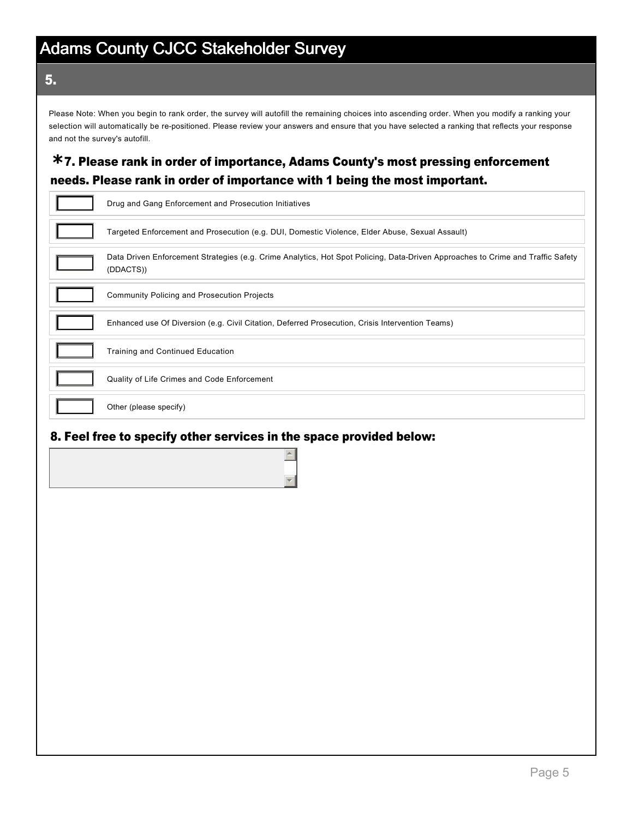#### 5.

Please Note: When you begin to rank order, the survey will autofill the remaining choices into ascending order. When you modify a ranking your selection will automatically be re-positioned. Please review your answers and ensure that you have selected a ranking that reflects your response and not the survey's autofill.

### 7. Please rank in order of importance, Adams County's most pressing enforcement **\*** needs. Please rank in order of importance with 1 being the most important.

| Drug and Gang Enforcement and Prosecution Initiatives                                                                                        |
|----------------------------------------------------------------------------------------------------------------------------------------------|
| Targeted Enforcement and Prosecution (e.g. DUI, Domestic Violence, Elder Abuse, Sexual Assault)                                              |
| Data Driven Enforcement Strategies (e.g. Crime Analytics, Hot Spot Policing, Data-Driven Approaches to Crime and Traffic Safety<br>(DDACTS)) |
| <b>Community Policing and Prosecution Projects</b>                                                                                           |
| Enhanced use Of Diversion (e.g. Civil Citation, Deferred Prosecution, Crisis Intervention Teams)                                             |
| <b>Training and Continued Education</b>                                                                                                      |
| Quality of Life Crimes and Code Enforcement                                                                                                  |
| Other (please specify)                                                                                                                       |

#### 8. Feel free to specify other services in the space provided below:

 $\blacktriangle$ 

 $\overline{\mathcal{F}}$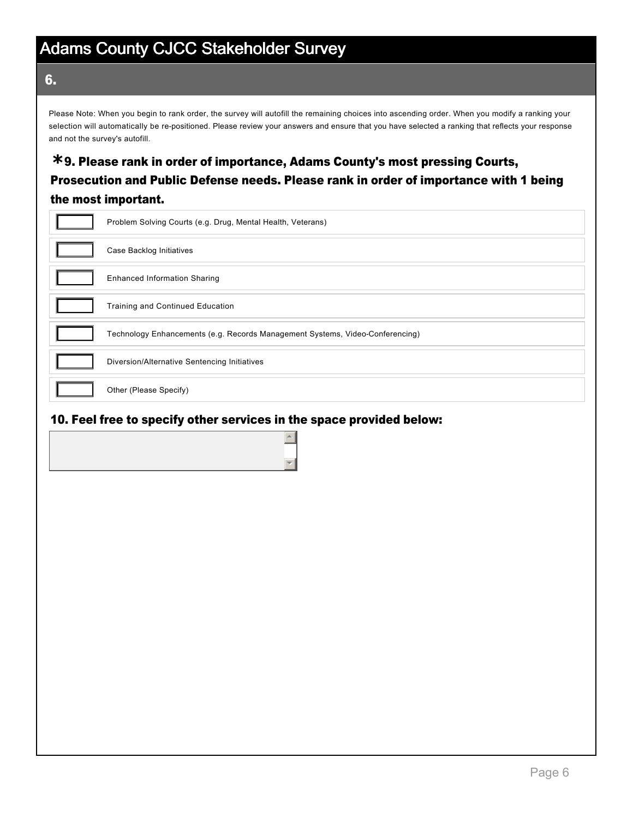6.

Please Note: When you begin to rank order, the survey will autofill the remaining choices into ascending order. When you modify a ranking your selection will automatically be re-positioned. Please review your answers and ensure that you have selected a ranking that reflects your response and not the survey's autofill.

### 9. Please rank in order of importance, Adams County's most pressing Courts, **\*** Prosecution and Public Defense needs. Please rank in order of importance with 1 being the most important.

| Problem Solving Courts (e.g. Drug, Mental Health, Veterans)                   |
|-------------------------------------------------------------------------------|
| Case Backlog Initiatives                                                      |
| <b>Enhanced Information Sharing</b>                                           |
| <b>Training and Continued Education</b>                                       |
| Technology Enhancements (e.g. Records Management Systems, Video-Conferencing) |
| Diversion/Alternative Sentencing Initiatives                                  |
| Other (Please Specify)                                                        |

#### 10. Feel free to specify other services in the space provided below:

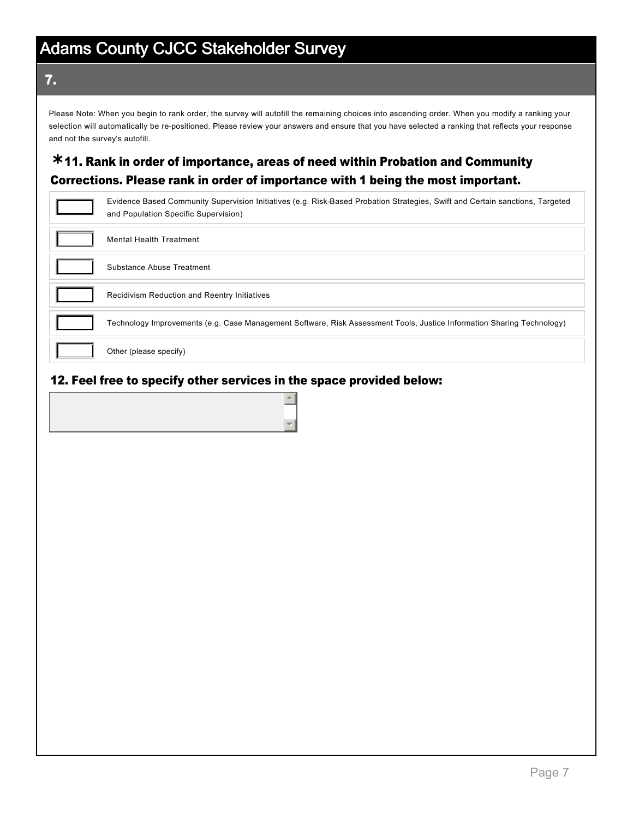#### 7.

Please Note: When you begin to rank order, the survey will autofill the remaining choices into ascending order. When you modify a ranking your selection will automatically be re-positioned. Please review your answers and ensure that you have selected a ranking that reflects your response and not the survey's autofill.

### 11. Rank in order of importance, areas of need within Probation and Community **\*** Corrections. Please rank in order of importance with 1 being the most important.

| Evidence Based Community Supervision Initiatives (e.g. Risk-Based Probation Strategies, Swift and Certain sanctions, Targeted<br>and Population Specific Supervision) |
|-----------------------------------------------------------------------------------------------------------------------------------------------------------------------|
| Mental Health Treatment                                                                                                                                               |
| Substance Abuse Treatment                                                                                                                                             |
| <b>Recidivism Reduction and Reentry Initiatives</b>                                                                                                                   |
| Technology Improvements (e.g. Case Management Software, Risk Assessment Tools, Justice Information Sharing Technology)                                                |
| Other (please specify)                                                                                                                                                |

#### 12. Feel free to specify other services in the space provided below:

 $\triangle$ 

 $\blacktriangledown$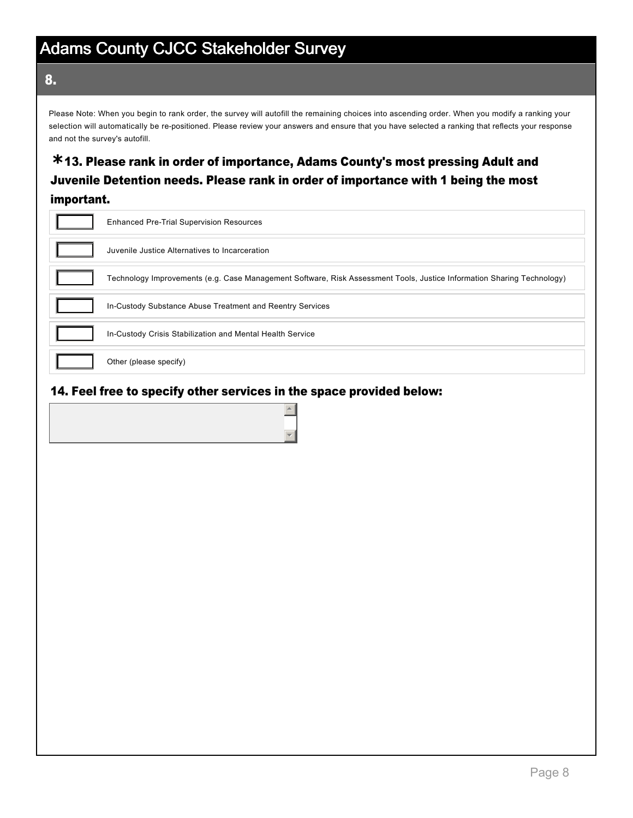#### 8.

Please Note: When you begin to rank order, the survey will autofill the remaining choices into ascending order. When you modify a ranking your selection will automatically be re-positioned. Please review your answers and ensure that you have selected a ranking that reflects your response and not the survey's autofill.

### 13. Please rank in order of importance, Adams County's most pressing Adult and **\*** Juvenile Detention needs. Please rank in order of importance with 1 being the most important.

| <b>Enhanced Pre-Trial Supervision Resources</b>                                                                        |
|------------------------------------------------------------------------------------------------------------------------|
| Juvenile Justice Alternatives to Incarceration                                                                         |
| Technology Improvements (e.g. Case Management Software, Risk Assessment Tools, Justice Information Sharing Technology) |
| In-Custody Substance Abuse Treatment and Reentry Services                                                              |
| In-Custody Crisis Stabilization and Mental Health Service                                                              |
| Other (please specify)                                                                                                 |

#### 14. Feel free to specify other services in the space provided below:

 $\triangle$ 

 $\blacktriangledown$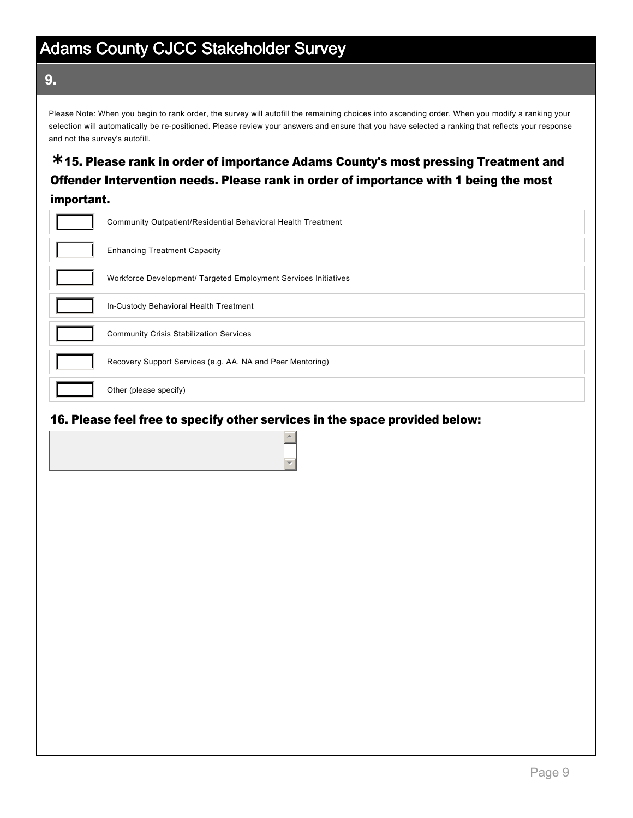9.

Please Note: When you begin to rank order, the survey will autofill the remaining choices into ascending order. When you modify a ranking your selection will automatically be re-positioned. Please review your answers and ensure that you have selected a ranking that reflects your response and not the survey's autofill.

### 15. Please rank in order of importance Adams County's most pressing Treatment and **\*** Offender Intervention needs. Please rank in order of importance with 1 being the most important.

| Community Outpatient/Residential Behavioral Health Treatment    |
|-----------------------------------------------------------------|
| <b>Enhancing Treatment Capacity</b>                             |
| Workforce Development/ Targeted Employment Services Initiatives |
| In-Custody Behavioral Health Treatment                          |
| <b>Community Crisis Stabilization Services</b>                  |
| Recovery Support Services (e.g. AA, NA and Peer Mentoring)      |
| Other (please specify)                                          |

#### 16. Please feel free to specify other services in the space provided below: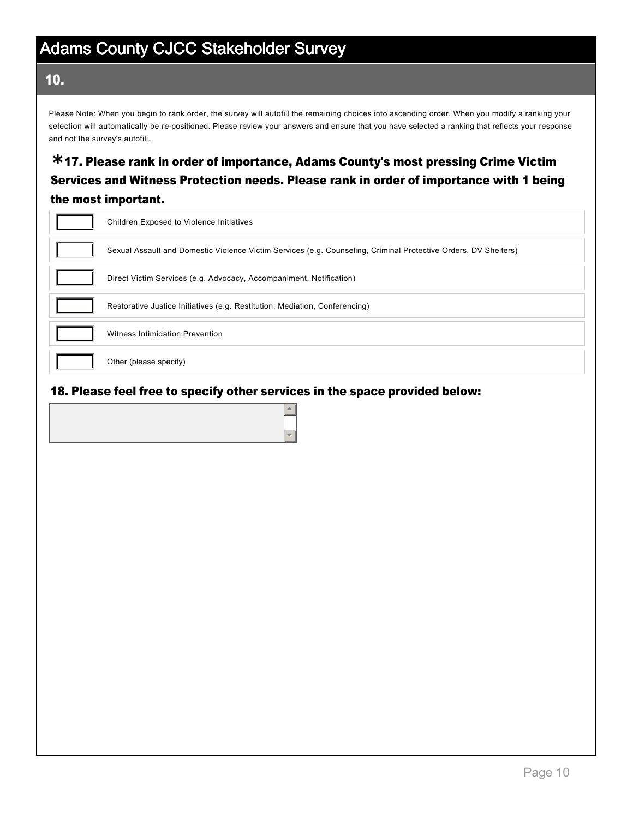### 10.

Please Note: When you begin to rank order, the survey will autofill the remaining choices into ascending order. When you modify a ranking your selection will automatically be re-positioned. Please review your answers and ensure that you have selected a ranking that reflects your response and not the survey's autofill.

### 17. Please rank in order of importance, Adams County's most pressing Crime Victim **\*** Services and Witness Protection needs. Please rank in order of importance with 1 being the most important.

| Children Exposed to Violence Initiatives                                                                        |
|-----------------------------------------------------------------------------------------------------------------|
| Sexual Assault and Domestic Violence Victim Services (e.g. Counseling, Criminal Protective Orders, DV Shelters) |
| Direct Victim Services (e.g. Advocacy, Accompaniment, Notification)                                             |
| Restorative Justice Initiatives (e.g. Restitution, Mediation, Conferencing)                                     |
| Witness Intimidation Prevention                                                                                 |
| Other (please specify)                                                                                          |

#### 18. Please feel free to specify other services in the space provided below:

 $\triangle$ 

 $\blacktriangledown$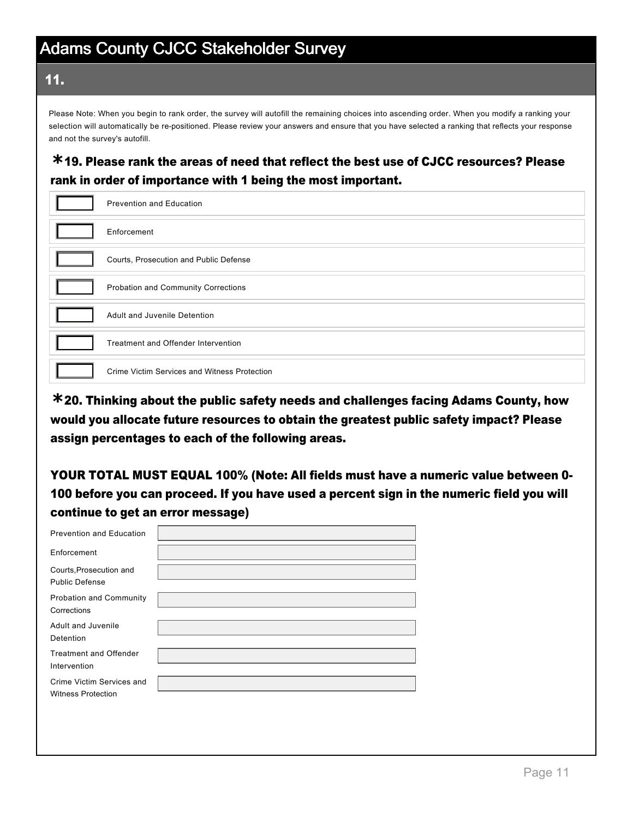#### 11.

Please Note: When you begin to rank order, the survey will autofill the remaining choices into ascending order. When you modify a ranking your selection will automatically be re-positioned. Please review your answers and ensure that you have selected a ranking that reflects your response and not the survey's autofill.

### 19. Please rank the areas of need that reflect the best use of CJCC resources? Please **\*** rank in order of importance with 1 being the most important.

| <b>Prevention and Education</b>              |
|----------------------------------------------|
| Enforcement                                  |
| Courts, Prosecution and Public Defense       |
| Probation and Community Corrections          |
| Adult and Juvenile Detention                 |
| Treatment and Offender Intervention          |
| Crime Victim Services and Witness Protection |

20. Thinking about the public safety needs and challenges facing Adams County, how **\*** would you allocate future resources to obtain the greatest public safety impact? Please assign percentages to each of the following areas.

YOUR TOTAL MUST EQUAL 100% (Note: All fields must have a numeric value between 0 100 before you can proceed. If you have used a percent sign in the numeric field you will continue to get an error message)

| Prevention and Education                               |  |
|--------------------------------------------------------|--|
| Enforcement                                            |  |
| Courts, Prosecution and<br><b>Public Defense</b>       |  |
| Probation and Community<br>Corrections                 |  |
| Adult and Juvenile<br>Detention                        |  |
| <b>Treatment and Offender</b><br>Intervention          |  |
| Crime Victim Services and<br><b>Witness Protection</b> |  |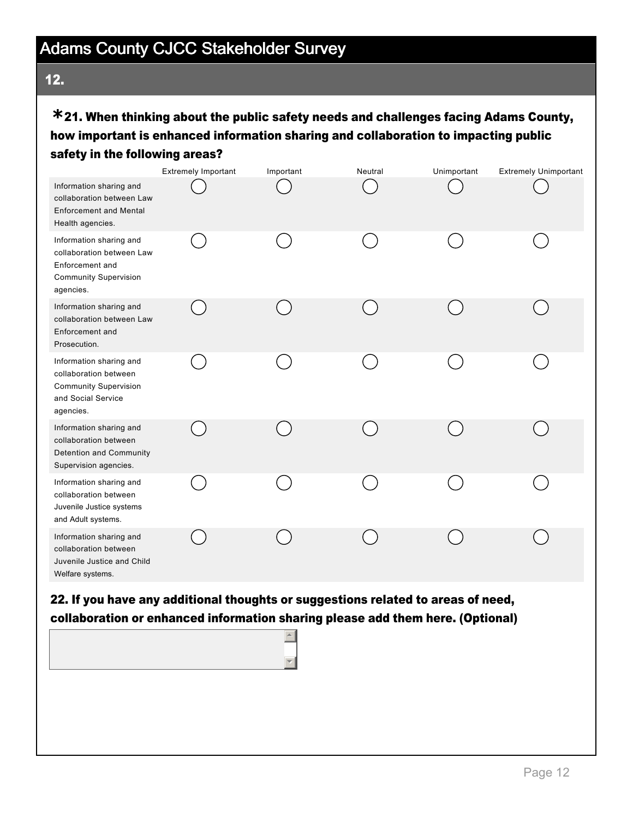### 12.

### 21. When thinking about the public safety needs and challenges facing Adams County, **\*** how important is enhanced information sharing and collaboration to impacting public safety in the following areas?

|                                                                                                                      | <b>Extremely Important</b> | Important | Neutral | Unimportant | <b>Extremely Unimportant</b> |
|----------------------------------------------------------------------------------------------------------------------|----------------------------|-----------|---------|-------------|------------------------------|
| Information sharing and<br>collaboration between Law<br><b>Enforcement and Mental</b><br>Health agencies.            |                            |           |         |             |                              |
| Information sharing and<br>collaboration between Law<br>Enforcement and<br><b>Community Supervision</b><br>agencies. |                            |           |         |             |                              |
| Information sharing and<br>collaboration between Law<br>Enforcement and<br>Prosecution.                              |                            |           |         |             |                              |
| Information sharing and<br>collaboration between<br><b>Community Supervision</b><br>and Social Service<br>agencies.  |                            |           |         |             |                              |
| Information sharing and<br>collaboration between<br>Detention and Community<br>Supervision agencies.                 |                            |           |         |             |                              |
| Information sharing and<br>collaboration between<br>Juvenile Justice systems<br>and Adult systems.                   |                            |           |         |             |                              |
| Information sharing and<br>collaboration between<br>Juvenile Justice and Child<br>Welfare systems.                   |                            |           |         |             |                              |
| 22. If you have any additional thoughts or suggestions related to areas of need,                                     |                            |           |         |             |                              |

collaboration or enhanced information sharing please add them here. (Optional)

 $\left| \bullet \right|$ 

 $\overline{\mathbf{r}}$ 

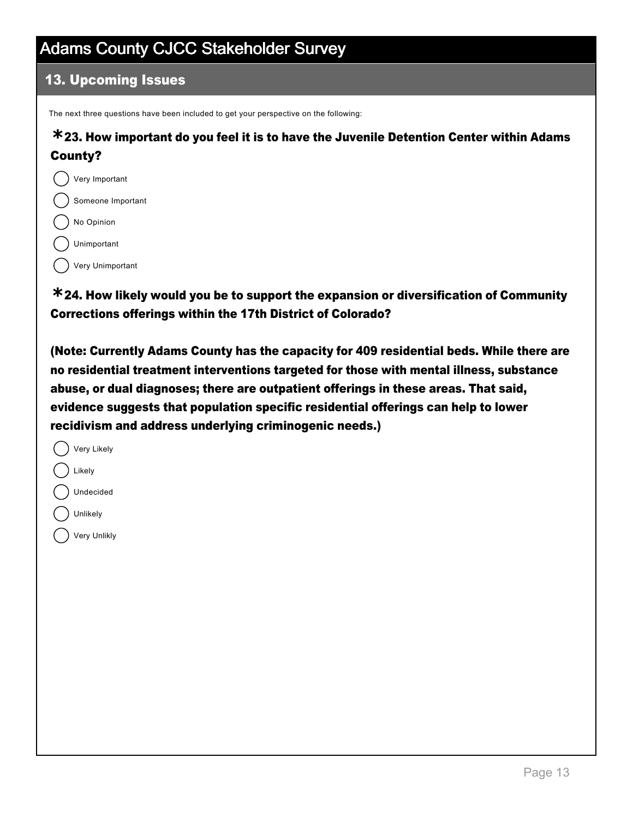### 13. Upcoming Issues

The next three questions have been included to get your perspective on the following:

### 23. How important do you feel it is to have the Juvenile Detention Center within Adams **\*** County?

- $($ ) Very Important Someone Important No Opinion
	- Unimportant

Very Unimportant

24. How likely would you be to support the expansion or diversification of Community **\*** Corrections offerings within the 17th District of Colorado?

(Note: Currently Adams County has the capacity for 409 residential beds. While there are no residential treatment interventions targeted for those with mental illness, substance abuse, or dual diagnoses; there are outpatient offerings in these areas. That said, evidence suggests that population specific residential offerings can help to lower recidivism and address underlying criminogenic needs.)

| Very Likely  |
|--------------|
| Likely       |
| Undecided    |
| Unlikely     |
| Very Unlikly |
|              |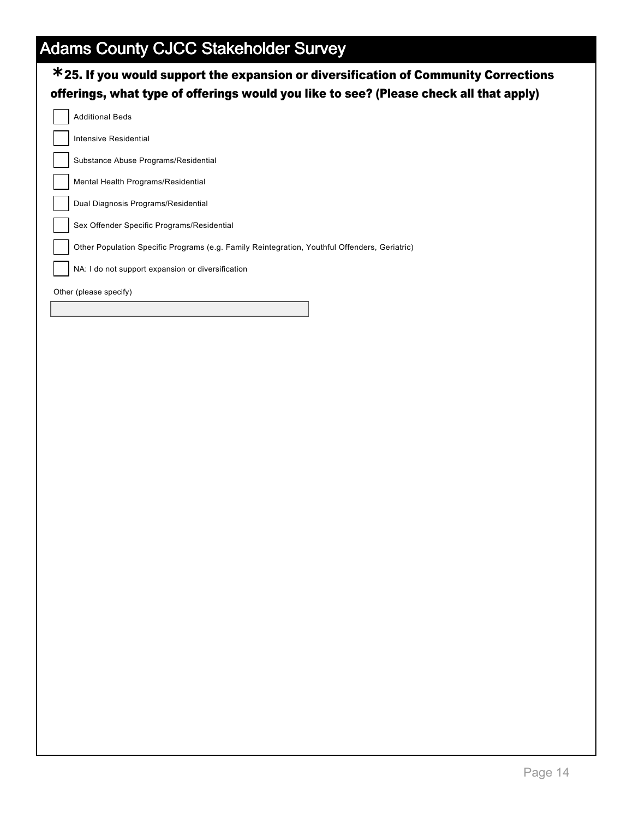| $*$ 25. If you would support the expansion or diversification of Community Corrections<br>offerings, what type of offerings would you like to see? (Please check all that apply) |
|----------------------------------------------------------------------------------------------------------------------------------------------------------------------------------|
| <b>Additional Beds</b>                                                                                                                                                           |
| Intensive Residential                                                                                                                                                            |
| Substance Abuse Programs/Residential                                                                                                                                             |
| Mental Health Programs/Residential                                                                                                                                               |
| Dual Diagnosis Programs/Residential                                                                                                                                              |
| Sex Offender Specific Programs/Residential                                                                                                                                       |
| Other Population Specific Programs (e.g. Family Reintegration, Youthful Offenders, Geriatric)                                                                                    |
| NA: I do not support expansion or diversification                                                                                                                                |
| Other (please specify)                                                                                                                                                           |
|                                                                                                                                                                                  |